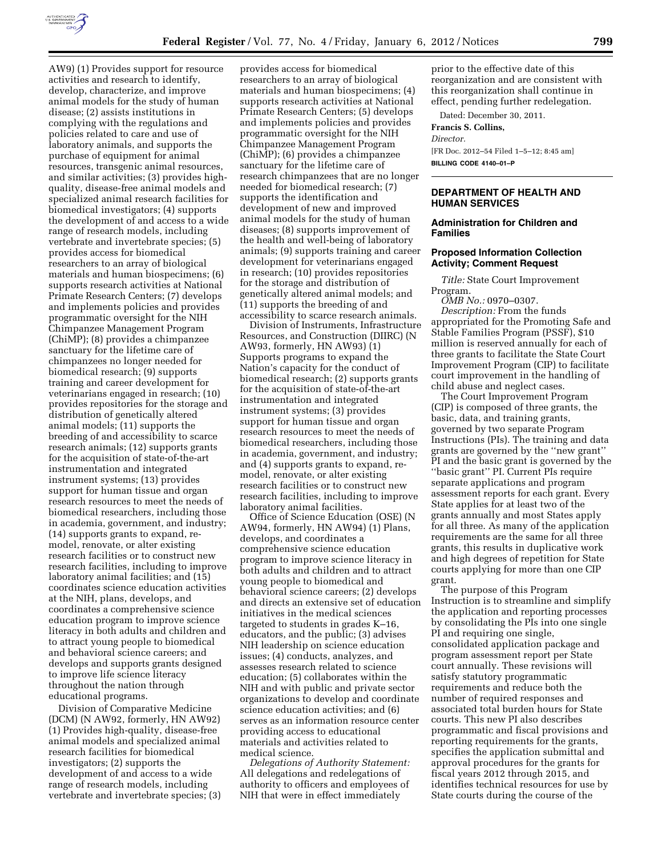

AW9) (1) Provides support for resource activities and research to identify, develop, characterize, and improve animal models for the study of human disease; (2) assists institutions in complying with the regulations and policies related to care and use of laboratory animals, and supports the purchase of equipment for animal resources, transgenic animal resources, and similar activities; (3) provides highquality, disease-free animal models and specialized animal research facilities for biomedical investigators; (4) supports the development of and access to a wide range of research models, including vertebrate and invertebrate species; (5) provides access for biomedical researchers to an array of biological materials and human biospecimens; (6) supports research activities at National Primate Research Centers; (7) develops and implements policies and provides programmatic oversight for the NIH Chimpanzee Management Program (ChiMP); (8) provides a chimpanzee sanctuary for the lifetime care of chimpanzees no longer needed for biomedical research; (9) supports training and career development for veterinarians engaged in research; (10) provides repositories for the storage and distribution of genetically altered animal models; (11) supports the breeding of and accessibility to scarce research animals; (12) supports grants for the acquisition of state-of-the-art instrumentation and integrated instrument systems; (13) provides support for human tissue and organ research resources to meet the needs of biomedical researchers, including those in academia, government, and industry; (14) supports grants to expand, remodel, renovate, or alter existing research facilities or to construct new research facilities, including to improve laboratory animal facilities; and (15) coordinates science education activities at the NIH, plans, develops, and coordinates a comprehensive science education program to improve science literacy in both adults and children and to attract young people to biomedical and behavioral science careers; and develops and supports grants designed to improve life science literacy throughout the nation through educational programs.

Division of Comparative Medicine (DCM) (N AW92, formerly, HN AW92) (1) Provides high-quality, disease-free animal models and specialized animal research facilities for biomedical investigators; (2) supports the development of and access to a wide range of research models, including vertebrate and invertebrate species; (3)

provides access for biomedical researchers to an array of biological materials and human biospecimens; (4) supports research activities at National Primate Research Centers; (5) develops and implements policies and provides programmatic oversight for the NIH Chimpanzee Management Program (ChiMP); (6) provides a chimpanzee sanctuary for the lifetime care of research chimpanzees that are no longer needed for biomedical research; (7) supports the identification and development of new and improved animal models for the study of human diseases; (8) supports improvement of the health and well-being of laboratory animals; (9) supports training and career development for veterinarians engaged in research; (10) provides repositories for the storage and distribution of genetically altered animal models; and (11) supports the breeding of and accessibility to scarce research animals.

Division of Instruments, Infrastructure Resources, and Construction (DIIRC) (N AW93, formerly, HN AW93) (1) Supports programs to expand the Nation's capacity for the conduct of biomedical research; (2) supports grants for the acquisition of state-of-the-art instrumentation and integrated instrument systems; (3) provides support for human tissue and organ research resources to meet the needs of biomedical researchers, including those in academia, government, and industry; and (4) supports grants to expand, remodel, renovate, or alter existing research facilities or to construct new research facilities, including to improve laboratory animal facilities.

Office of Science Education (OSE) (N AW94, formerly, HN AW94) (1) Plans, develops, and coordinates a comprehensive science education program to improve science literacy in both adults and children and to attract young people to biomedical and behavioral science careers; (2) develops and directs an extensive set of education initiatives in the medical sciences targeted to students in grades K–16, educators, and the public; (3) advises NIH leadership on science education issues; (4) conducts, analyzes, and assesses research related to science education; (5) collaborates within the NIH and with public and private sector organizations to develop and coordinate science education activities; and (6) serves as an information resource center providing access to educational materials and activities related to medical science.

*Delegations of Authority Statement:*  All delegations and redelegations of authority to officers and employees of NIH that were in effect immediately

prior to the effective date of this reorganization and are consistent with this reorganization shall continue in effect, pending further redelegation.

Dated: December 30, 2011.

**Francis S. Collins,** 

*Director.* 

[FR Doc. 2012–54 Filed 1–5–12; 8:45 am] **BILLING CODE 4140–01–P** 

### **DEPARTMENT OF HEALTH AND HUMAN SERVICES**

#### **Administration for Children and Families**

#### **Proposed Information Collection Activity; Comment Request**

*Title:* State Court Improvement Program.

*OMB No.:* 0970–0307. *Description:* From the funds appropriated for the Promoting Safe and Stable Families Program (PSSF), \$10 million is reserved annually for each of three grants to facilitate the State Court Improvement Program (CIP) to facilitate court improvement in the handling of child abuse and neglect cases.

The Court Improvement Program (CIP) is composed of three grants, the basic, data, and training grants, governed by two separate Program Instructions (PIs). The training and data grants are governed by the ''new grant'' PI and the basic grant is governed by the ''basic grant'' PI. Current PIs require separate applications and program assessment reports for each grant. Every State applies for at least two of the grants annually and most States apply for all three. As many of the application requirements are the same for all three grants, this results in duplicative work and high degrees of repetition for State courts applying for more than one CIP grant.

The purpose of this Program Instruction is to streamline and simplify the application and reporting processes by consolidating the PIs into one single PI and requiring one single, consolidated application package and program assessment report per State court annually. These revisions will satisfy statutory programmatic requirements and reduce both the number of required responses and associated total burden hours for State courts. This new PI also describes programmatic and fiscal provisions and reporting requirements for the grants, specifies the application submittal and approval procedures for the grants for fiscal years 2012 through 2015, and identifies technical resources for use by State courts during the course of the